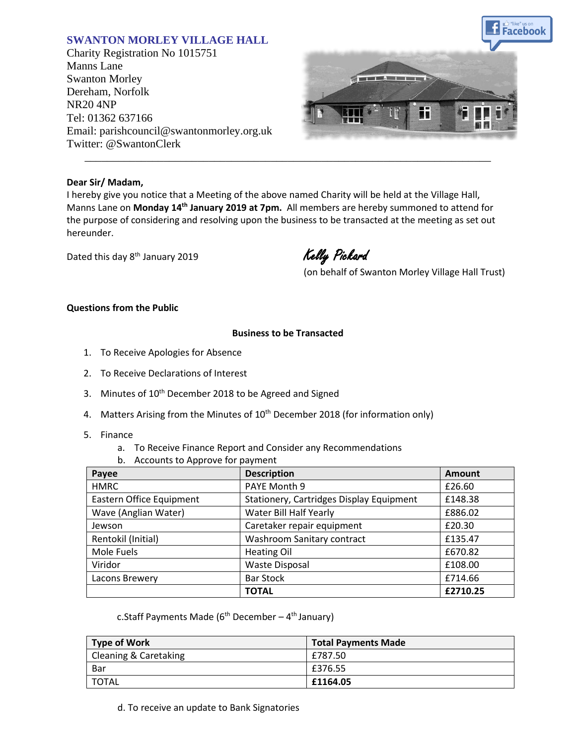# **SWANTON MORLEY VILLAGE HALL**

Charity Registration No 1015751 Manns Lane Swanton Morley Dereham, Norfolk NR20 4NP Tel: 01362 637166 Email: parishcouncil@swantonmorley.org.uk Twitter: @SwantonClerk



#### **Dear Sir/ Madam,**

I hereby give you notice that a Meeting of the above named Charity will be held at the Village Hall, Manns Lane on Monday 14<sup>th</sup> January 2019 at 7pm. All members are hereby summoned to attend for the purpose of considering and resolving upon the business to be transacted at the meeting as set out hereunder.

\_\_\_\_\_\_\_\_\_\_\_\_\_\_\_\_\_\_\_\_\_\_\_\_\_\_\_\_\_\_\_\_\_\_\_\_\_\_\_\_\_\_\_\_\_\_\_\_\_\_\_\_\_\_\_\_\_\_\_\_\_\_\_\_\_\_\_\_\_\_\_\_

Dated this day 8<sup>th</sup> January 2019

Kelly Pickard

(on behalf of Swanton Morley Village Hall Trust)

### **Questions from the Public**

### **Business to be Transacted**

- 1. To Receive Apologies for Absence
- 2. To Receive Declarations of Interest
- 3. Minutes of 10<sup>th</sup> December 2018 to be Agreed and Signed
- 4. Matters Arising from the Minutes of 10<sup>th</sup> December 2018 (for information only)
- 5. Finance
	- a. To Receive Finance Report and Consider any Recommendations
	- b. Accounts to Approve for payment

| Payee                    | <b>Description</b>                       | <b>Amount</b> |
|--------------------------|------------------------------------------|---------------|
| <b>HMRC</b>              | PAYE Month 9                             | £26.60        |
| Eastern Office Equipment | Stationery, Cartridges Display Equipment | £148.38       |
| Wave (Anglian Water)     | Water Bill Half Yearly                   | £886.02       |
| Jewson                   | Caretaker repair equipment               | £20.30        |
| Rentokil (Initial)       | Washroom Sanitary contract               | £135.47       |
| Mole Fuels               | <b>Heating Oil</b>                       | £670.82       |
| Viridor                  | Waste Disposal                           | £108.00       |
| Lacons Brewery           | <b>Bar Stock</b>                         | £714.66       |
|                          | <b>TOTAL</b>                             | £2710.25      |

|  | c.Staff Payments Made (6 <sup>th</sup> December – 4 <sup>th</sup> January) |
|--|----------------------------------------------------------------------------|
|--|----------------------------------------------------------------------------|

| Type of Work                     | <b>Total Payments Made</b> |
|----------------------------------|----------------------------|
| <b>Cleaning &amp; Caretaking</b> | £787.50                    |
| Bar                              | £376.55                    |
| <b>TOTAL</b>                     | £1164.05                   |

d. To receive an update to Bank Signatories